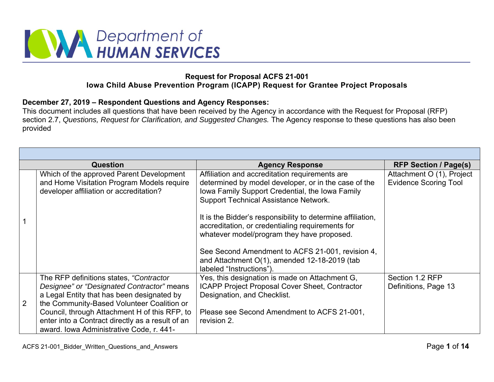

## **Request for Proposal ACFS 21-001 Iowa Child Abuse Prevention Program (ICAPP) Request for Grantee Project Proposals**

## **December 27, 2019 – Respondent Questions and Agency Responses:**

This document includes all questions that have been received by the Agency in accordance with the Request for Proposal (RFP) section 2.7, *Questions, Request for Clarification, and Suggested Changes.* The Agency response to these questions has also been provided

|   | <b>Question</b>                                                                                                                                                                    | <b>Agency Response</b>                                                                                                                                                                                                                                                                        | <b>RFP Section / Page(s)</b>                              |  |
|---|------------------------------------------------------------------------------------------------------------------------------------------------------------------------------------|-----------------------------------------------------------------------------------------------------------------------------------------------------------------------------------------------------------------------------------------------------------------------------------------------|-----------------------------------------------------------|--|
|   | Which of the approved Parent Development<br>and Home Visitation Program Models require<br>developer affiliation or accreditation?                                                  | Affiliation and accreditation requirements are<br>determined by model developer, or in the case of the<br>Iowa Family Support Credential, the Iowa Family<br><b>Support Technical Assistance Network.</b>                                                                                     | Attachment O (1), Project<br><b>Evidence Scoring Tool</b> |  |
|   |                                                                                                                                                                                    | It is the Bidder's responsibility to determine affiliation,<br>accreditation, or credentialing requirements for<br>whatever model/program they have proposed.<br>See Second Amendment to ACFS 21-001, revision 4,<br>and Attachment O(1), amended 12-18-2019 (tab<br>labeled "Instructions"). |                                                           |  |
| 2 | The RFP definitions states, "Contractor"<br>Designee" or "Designated Contractor" means<br>a Legal Entity that has been designated by<br>the Community-Based Volunteer Coalition or | Yes, this designation is made on Attachment G,<br>ICAPP Project Proposal Cover Sheet, Contractor<br>Designation, and Checklist.                                                                                                                                                               | Section 1.2 RFP<br>Definitions, Page 13                   |  |
|   | Council, through Attachment H of this RFP, to<br>enter into a Contract directly as a result of an<br>award. Iowa Administrative Code, r. 441-                                      | Please see Second Amendment to ACFS 21-001,<br>revision 2.                                                                                                                                                                                                                                    |                                                           |  |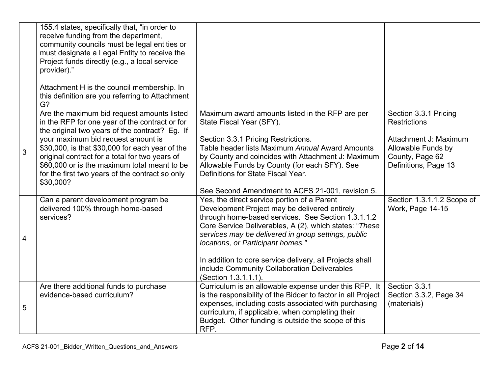|                | 155.4 states, specifically that, "in order to<br>receive funding from the department,<br>community councils must be legal entities or<br>must designate a Legal Entity to receive the<br>Project funds directly (e.g., a local service<br>provider)."<br>Attachment H is the council membership. In<br>this definition are you referring to Attachment<br>G?                                              |                                                                                                                                                                                                                                                                                                                                                                                                                                              |                                                                                                                                        |
|----------------|-----------------------------------------------------------------------------------------------------------------------------------------------------------------------------------------------------------------------------------------------------------------------------------------------------------------------------------------------------------------------------------------------------------|----------------------------------------------------------------------------------------------------------------------------------------------------------------------------------------------------------------------------------------------------------------------------------------------------------------------------------------------------------------------------------------------------------------------------------------------|----------------------------------------------------------------------------------------------------------------------------------------|
| 3              | Are the maximum bid request amounts listed<br>in the RFP for one year of the contract or for<br>the original two years of the contract? Eg. If<br>your maximum bid request amount is<br>\$30,000, is that \$30,000 for each year of the<br>original contract for a total for two years of<br>\$60,000 or is the maximum total meant to be<br>for the first two years of the contract so only<br>\$30,000? | Maximum award amounts listed in the RFP are per<br>State Fiscal Year (SFY).<br>Section 3.3.1 Pricing Restrictions.<br>Table header lists Maximum Annual Award Amounts<br>by County and coincides with Attachment J: Maximum<br>Allowable Funds by County (for each SFY). See<br>Definitions for State Fiscal Year.<br>See Second Amendment to ACFS 21-001, revision 5.                                                                       | Section 3.3.1 Pricing<br><b>Restrictions</b><br>Attachment J: Maximum<br>Allowable Funds by<br>County, Page 62<br>Definitions, Page 13 |
| $\overline{4}$ | Can a parent development program be<br>delivered 100% through home-based<br>services?                                                                                                                                                                                                                                                                                                                     | Yes, the direct service portion of a Parent<br>Development Project may be delivered entirely<br>through home-based services. See Section 1.3.1.1.2<br>Core Service Deliverables, A (2), which states: "These<br>services may be delivered in group settings, public<br>locations, or Participant homes."<br>In addition to core service delivery, all Projects shall<br>include Community Collaboration Deliverables<br>(Section 1.3.1.1.1). | Section 1.3.1.1.2 Scope of<br>Work, Page 14-15                                                                                         |
| 5              | Are there additional funds to purchase<br>evidence-based curriculum?                                                                                                                                                                                                                                                                                                                                      | Curriculum is an allowable expense under this RFP. It<br>is the responsibility of the Bidder to factor in all Project<br>expenses, including costs associated with purchasing<br>curriculum, if applicable, when completing their<br>Budget. Other funding is outside the scope of this<br>RFP.                                                                                                                                              | Section 3.3.1<br>Section 3.3.2, Page 34<br>(materials)                                                                                 |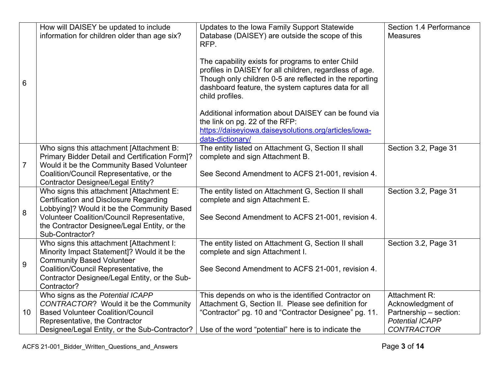|                | How will DAISEY be updated to include                                                | Updates to the Iowa Family Support Statewide            | Section 1.4 Performance |
|----------------|--------------------------------------------------------------------------------------|---------------------------------------------------------|-------------------------|
|                | information for children older than age six?                                         | Database (DAISEY) are outside the scope of this         | <b>Measures</b>         |
|                |                                                                                      | RFP.                                                    |                         |
|                |                                                                                      | The capability exists for programs to enter Child       |                         |
|                |                                                                                      | profiles in DAISEY for all children, regardless of age. |                         |
| 6              |                                                                                      | Though only children 0-5 are reflected in the reporting |                         |
|                |                                                                                      | dashboard feature, the system captures data for all     |                         |
|                |                                                                                      | child profiles.                                         |                         |
|                |                                                                                      | Additional information about DAISEY can be found via    |                         |
|                |                                                                                      | the link on pg. 22 of the RFP:                          |                         |
|                |                                                                                      | https://daiseyiowa.daiseysolutions.org/articles/iowa-   |                         |
|                |                                                                                      | data-dictionary/                                        |                         |
|                | Who signs this attachment [Attachment B:                                             | The entity listed on Attachment G, Section II shall     | Section 3.2, Page 31    |
|                | Primary Bidder Detail and Certification Form]?                                       | complete and sign Attachment B.                         |                         |
| $\overline{7}$ | Would it be the Community Based Volunteer                                            |                                                         |                         |
|                | Coalition/Council Representative, or the                                             | See Second Amendment to ACFS 21-001, revision 4.        |                         |
|                | <b>Contractor Designee/Legal Entity?</b><br>Who signs this attachment [Attachment E: | The entity listed on Attachment G, Section II shall     | Section 3.2, Page 31    |
|                | <b>Certification and Disclosure Regarding</b>                                        | complete and sign Attachment E.                         |                         |
|                | Lobbying]? Would it be the Community Based                                           |                                                         |                         |
| $\bf 8$        | <b>Volunteer Coalition/Council Representative,</b>                                   | See Second Amendment to ACFS 21-001, revision 4.        |                         |
|                | the Contractor Designee/Legal Entity, or the                                         |                                                         |                         |
|                | Sub-Contractor?                                                                      |                                                         |                         |
|                | Who signs this attachment [Attachment I:                                             | The entity listed on Attachment G, Section II shall     | Section 3.2, Page 31    |
|                | Minority Impact Statement]? Would it be the                                          | complete and sign Attachment I.                         |                         |
| 9              | <b>Community Based Volunteer</b>                                                     |                                                         |                         |
|                | Coalition/Council Representative, the                                                | See Second Amendment to ACFS 21-001, revision 4.        |                         |
|                | Contractor Designee/Legal Entity, or the Sub-                                        |                                                         |                         |
|                | Contractor?                                                                          |                                                         |                         |
|                | Who signs as the Potential ICAPP                                                     | This depends on who is the identified Contractor on     | Attachment R:           |
|                | CONTRACTOR? Would it be the Community                                                | Attachment G, Section II. Please see definition for     | Acknowledgment of       |
| 10             | <b>Based Volunteer Coalition/Council</b>                                             | "Contractor" pg. 10 and "Contractor Designee" pg. 11.   | Partnership - section:  |
|                | Representative, the Contractor                                                       |                                                         | <b>Potential ICAPP</b>  |
|                | Designee/Legal Entity, or the Sub-Contractor?                                        | Use of the word "potential" here is to indicate the     | <b>CONTRACTOR</b>       |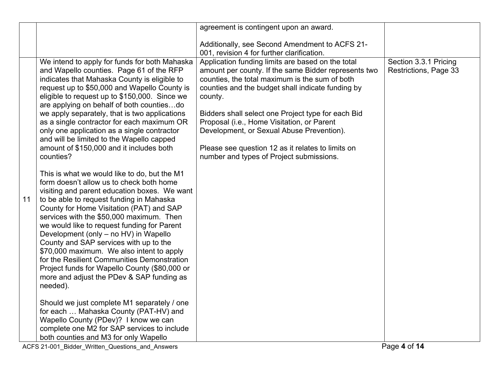|    |                                                                                                                                                                                                                                                                                                                                                                                                                                                                                                                                                                                                                                                                                                                                                                                                                                                                                                                                                                                                                                                                                                                                                                                                                                                                                                     | agreement is contingent upon an award.                                                                                                                                                                                                                                                                                                                                                                                                                                        |                                                |
|----|-----------------------------------------------------------------------------------------------------------------------------------------------------------------------------------------------------------------------------------------------------------------------------------------------------------------------------------------------------------------------------------------------------------------------------------------------------------------------------------------------------------------------------------------------------------------------------------------------------------------------------------------------------------------------------------------------------------------------------------------------------------------------------------------------------------------------------------------------------------------------------------------------------------------------------------------------------------------------------------------------------------------------------------------------------------------------------------------------------------------------------------------------------------------------------------------------------------------------------------------------------------------------------------------------------|-------------------------------------------------------------------------------------------------------------------------------------------------------------------------------------------------------------------------------------------------------------------------------------------------------------------------------------------------------------------------------------------------------------------------------------------------------------------------------|------------------------------------------------|
|    |                                                                                                                                                                                                                                                                                                                                                                                                                                                                                                                                                                                                                                                                                                                                                                                                                                                                                                                                                                                                                                                                                                                                                                                                                                                                                                     | Additionally, see Second Amendment to ACFS 21-<br>001, revision 4 for further clarification.                                                                                                                                                                                                                                                                                                                                                                                  |                                                |
| 11 | We intend to apply for funds for both Mahaska<br>and Wapello counties. Page 61 of the RFP<br>indicates that Mahaska County is eligible to<br>request up to \$50,000 and Wapello County is<br>eligible to request up to \$150,000. Since we<br>are applying on behalf of both countiesdo<br>we apply separately, that is two applications<br>as a single contractor for each maximum OR<br>only one application as a single contractor<br>and will be limited to the Wapello capped<br>amount of \$150,000 and it includes both<br>counties?<br>This is what we would like to do, but the M1<br>form doesn't allow us to check both home<br>visiting and parent education boxes. We want<br>to be able to request funding in Mahaska<br>County for Home Visitation (PAT) and SAP<br>services with the \$50,000 maximum. Then<br>we would like to request funding for Parent<br>Development (only – no HV) in Wapello<br>County and SAP services with up to the<br>\$70,000 maximum. We also intent to apply<br>for the Resilient Communities Demonstration<br>Project funds for Wapello County (\$80,000 or<br>more and adjust the PDev & SAP funding as<br>needed).<br>Should we just complete M1 separately / one<br>for each  Mahaska County (PAT-HV) and<br>Wapello County (PDev)? I know we can | Application funding limits are based on the total<br>amount per county. If the same Bidder represents two<br>counties, the total maximum is the sum of both<br>counties and the budget shall indicate funding by<br>county.<br>Bidders shall select one Project type for each Bid<br>Proposal (i.e., Home Visitation, or Parent<br>Development, or Sexual Abuse Prevention).<br>Please see question 12 as it relates to limits on<br>number and types of Project submissions. | Section 3.3.1 Pricing<br>Restrictions, Page 33 |
|    | complete one M2 for SAP services to include<br>both counties and M3 for only Wapello                                                                                                                                                                                                                                                                                                                                                                                                                                                                                                                                                                                                                                                                                                                                                                                                                                                                                                                                                                                                                                                                                                                                                                                                                |                                                                                                                                                                                                                                                                                                                                                                                                                                                                               | .                                              |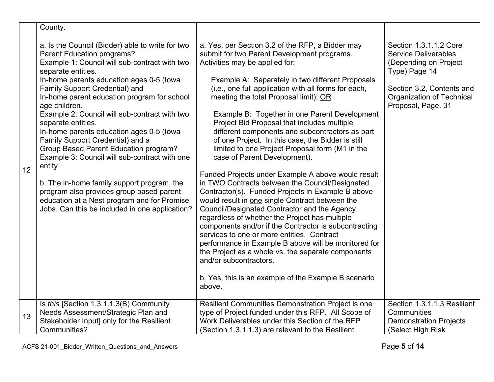|    | County.                                                                                                                                                                                                                                                                                                                                                                                                                                                                                                                                                                                                                                                                                                                                                                                              |                                                                                                                                                                                                                                                                                                                                                                                                                                                                                                                                                                                                                                                                                                                                                                                                                                                                                                                                                                                                                                                                                                                                                                                                                                                                              |                                                                                                                                                                                                                |
|----|------------------------------------------------------------------------------------------------------------------------------------------------------------------------------------------------------------------------------------------------------------------------------------------------------------------------------------------------------------------------------------------------------------------------------------------------------------------------------------------------------------------------------------------------------------------------------------------------------------------------------------------------------------------------------------------------------------------------------------------------------------------------------------------------------|------------------------------------------------------------------------------------------------------------------------------------------------------------------------------------------------------------------------------------------------------------------------------------------------------------------------------------------------------------------------------------------------------------------------------------------------------------------------------------------------------------------------------------------------------------------------------------------------------------------------------------------------------------------------------------------------------------------------------------------------------------------------------------------------------------------------------------------------------------------------------------------------------------------------------------------------------------------------------------------------------------------------------------------------------------------------------------------------------------------------------------------------------------------------------------------------------------------------------------------------------------------------------|----------------------------------------------------------------------------------------------------------------------------------------------------------------------------------------------------------------|
| 12 | a. Is the Council (Bidder) able to write for two<br>Parent Education programs?<br>Example 1: Council will sub-contract with two<br>separate entities.<br>In-home parents education ages 0-5 (lowa<br>Family Support Credential) and<br>In-home parent education program for school<br>age children.<br>Example 2: Council will sub-contract with two<br>separate entities.<br>In-home parents education ages 0-5 (lowa<br>Family Support Credential) and a<br>Group Based Parent Education program?<br>Example 3: Council will sub-contract with one<br>entity<br>b. The in-home family support program, the<br>program also provides group based parent<br>education at a Nest program and for Promise<br>Jobs. Can this be included in one application?<br>Is this [Section 1.3.1.1.3(B) Community | a. Yes, per Section 3.2 of the RFP, a Bidder may<br>submit for two Parent Development programs.<br>Activities may be applied for:<br>Example A: Separately in two different Proposals<br>(i.e., one full application with all forms for each,<br>meeting the total Proposal limit); OR<br>Example B: Together in one Parent Development<br>Project Bid Proposal that includes multiple<br>different components and subcontractors as part<br>of one Project. In this case, the Bidder is still<br>limited to one Project Proposal form (M1 in the<br>case of Parent Development).<br>Funded Projects under Example A above would result<br>in TWO Contracts between the Council/Designated<br>Contractor(s). Funded Projects in Example B above<br>would result in one single Contract between the<br>Council/Designated Contractor and the Agency,<br>regardless of whether the Project has multiple<br>components and/or if the Contractor is subcontracting<br>services to one or more entities. Contract<br>performance in Example B above will be monitored for<br>the Project as a whole vs. the separate components<br>and/or subcontractors.<br>b. Yes, this is an example of the Example B scenario<br>above.<br>Resilient Communities Demonstration Project is one | Section 1.3.1.1.2 Core<br><b>Service Deliverables</b><br>(Depending on Project<br>Type) Page 14<br>Section 3.2, Contents and<br>Organization of Technical<br>Proposal, Page. 31<br>Section 1.3.1.1.3 Resilient |
| 13 | Needs Assessment/Strategic Plan and<br>Stakeholder Input] only for the Resilient<br>Communities?                                                                                                                                                                                                                                                                                                                                                                                                                                                                                                                                                                                                                                                                                                     | type of Project funded under this RFP. All Scope of<br>Work Deliverables under this Section of the RFP<br>(Section 1.3.1.1.3) are relevant to the Resilient                                                                                                                                                                                                                                                                                                                                                                                                                                                                                                                                                                                                                                                                                                                                                                                                                                                                                                                                                                                                                                                                                                                  | Communities<br><b>Demonstration Projects</b><br>(Select High Risk                                                                                                                                              |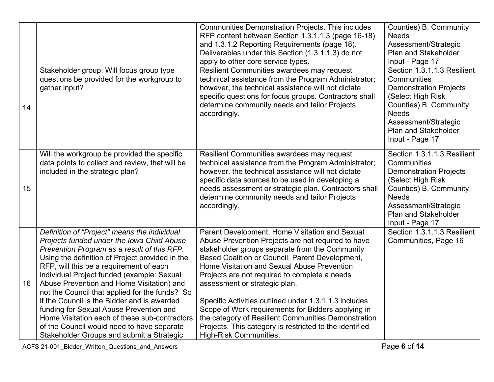|    |                                                                                                                                                                                                                                                                                                                                                                                                                                                                                                                                                                                                                            | <b>Communities Demonstration Projects. This includes</b><br>RFP content between Section 1.3.1.1.3 (page 16-18)<br>and 1.3.1.2 Reporting Requirements (page 18).<br>Deliverables under this Section (1.3.1.1.3) do not<br>apply to other core service types.                                                                                                                                                                                                                                                                                                                                                  | Counties) B. Community<br><b>Needs</b><br>Assessment/Strategic<br><b>Plan and Stakeholder</b><br>Input - Page 17                                                                                                     |
|----|----------------------------------------------------------------------------------------------------------------------------------------------------------------------------------------------------------------------------------------------------------------------------------------------------------------------------------------------------------------------------------------------------------------------------------------------------------------------------------------------------------------------------------------------------------------------------------------------------------------------------|--------------------------------------------------------------------------------------------------------------------------------------------------------------------------------------------------------------------------------------------------------------------------------------------------------------------------------------------------------------------------------------------------------------------------------------------------------------------------------------------------------------------------------------------------------------------------------------------------------------|----------------------------------------------------------------------------------------------------------------------------------------------------------------------------------------------------------------------|
| 14 | Stakeholder group: Will focus group type<br>questions be provided for the workgroup to<br>gather input?                                                                                                                                                                                                                                                                                                                                                                                                                                                                                                                    | Resilient Communities awardees may request<br>technical assistance from the Program Administrator;<br>however, the technical assistance will not dictate<br>specific questions for focus groups. Contractors shall<br>determine community needs and tailor Projects<br>accordingly.                                                                                                                                                                                                                                                                                                                          | Section 1.3.1.1.3 Resilient<br>Communities<br><b>Demonstration Projects</b><br>(Select High Risk<br>Counties) B. Community<br><b>Needs</b><br>Assessment/Strategic<br><b>Plan and Stakeholder</b><br>Input - Page 17 |
| 15 | Will the workgroup be provided the specific<br>data points to collect and review, that will be<br>included in the strategic plan?                                                                                                                                                                                                                                                                                                                                                                                                                                                                                          | Resilient Communities awardees may request<br>technical assistance from the Program Administrator;<br>however, the technical assistance will not dictate<br>specific data sources to be used in developing a<br>needs assessment or strategic plan. Contractors shall<br>determine community needs and tailor Projects<br>accordingly.                                                                                                                                                                                                                                                                       | Section 1.3.1.1.3 Resilient<br>Communities<br><b>Demonstration Projects</b><br>(Select High Risk<br>Counties) B. Community<br><b>Needs</b><br>Assessment/Strategic<br><b>Plan and Stakeholder</b><br>Input - Page 17 |
| 16 | Definition of "Project" means the individual<br>Projects funded under the Iowa Child Abuse<br>Prevention Program as a result of this RFP.<br>Using the definition of Project provided in the<br>RFP, will this be a requirement of each<br>individual Project funded (example: Sexual<br>Abuse Prevention and Home Visitation) and<br>not the Council that applied for the funds? So<br>if the Council is the Bidder and is awarded<br>funding for Sexual Abuse Prevention and<br>Home Visitation each of these sub-contractors<br>of the Council would need to have separate<br>Stakeholder Groups and submit a Strategic | Parent Development, Home Visitation and Sexual<br>Abuse Prevention Projects are not required to have<br>stakeholder groups separate from the Community<br>Based Coalition or Council. Parent Development,<br>Home Visitation and Sexual Abuse Prevention<br>Projects are not required to complete a needs<br>assessment or strategic plan.<br>Specific Activities outlined under 1.3.1.1.3 includes<br>Scope of Work requirements for Bidders applying in<br>the category of Resilient Communities Demonstration<br>Projects. This category is restricted to the identified<br><b>High-Risk Communities.</b> | Section 1.3.1.1.3 Resilient<br>Communities, Page 16                                                                                                                                                                  |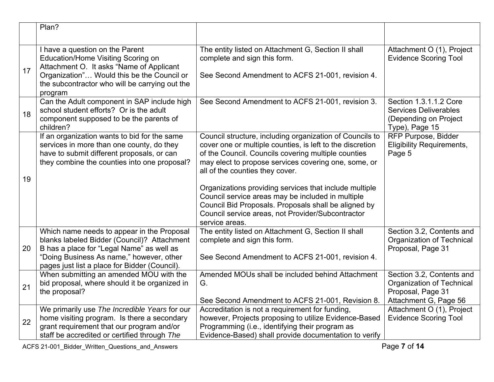|    | Plan?                                                                                                                                          |                                                                                                                                                                              |                                                                                                   |
|----|------------------------------------------------------------------------------------------------------------------------------------------------|------------------------------------------------------------------------------------------------------------------------------------------------------------------------------|---------------------------------------------------------------------------------------------------|
|    |                                                                                                                                                |                                                                                                                                                                              |                                                                                                   |
|    | I have a question on the Parent<br>Education/Home Visiting Scoring on<br>Attachment O. It asks "Name of Applicant                              | The entity listed on Attachment G, Section II shall<br>complete and sign this form.                                                                                          | Attachment O (1), Project<br><b>Evidence Scoring Tool</b>                                         |
| 17 | Organization" Would this be the Council or<br>the subcontractor who will be carrying out the<br>program                                        | See Second Amendment to ACFS 21-001, revision 4.                                                                                                                             |                                                                                                   |
| 18 | Can the Adult component in SAP include high<br>school student efforts? Or is the adult<br>component supposed to be the parents of<br>children? | See Second Amendment to ACFS 21-001, revision 3.                                                                                                                             | Section 1.3.1.1.2 Core<br><b>Services Deliverables</b><br>(Depending on Project<br>Type), Page 15 |
|    | If an organization wants to bid for the same<br>services in more than one county, do they<br>have to submit different proposals, or can        | Council structure, including organization of Councils to<br>cover one or multiple counties, is left to the discretion<br>of the Council. Councils covering multiple counties | <b>RFP Purpose, Bidder</b><br><b>Eligibility Requirements,</b><br>Page 5                          |
| 19 | they combine the counties into one proposal?                                                                                                   | may elect to propose services covering one, some, or<br>all of the counties they cover.                                                                                      |                                                                                                   |
|    |                                                                                                                                                | Organizations providing services that include multiple<br>Council service areas may be included in multiple                                                                  |                                                                                                   |
|    |                                                                                                                                                | Council Bid Proposals. Proposals shall be aligned by<br>Council service areas, not Provider/Subcontractor                                                                    |                                                                                                   |
|    |                                                                                                                                                | service areas.                                                                                                                                                               |                                                                                                   |
|    | Which name needs to appear in the Proposal<br>blanks labeled Bidder (Council)? Attachment                                                      | The entity listed on Attachment G, Section II shall<br>complete and sign this form.                                                                                          | Section 3.2, Contents and<br>Organization of Technical                                            |
| 20 | B has a place for "Legal Name" as well as                                                                                                      |                                                                                                                                                                              | Proposal, Page 31                                                                                 |
|    | "Doing Business As name," however, other                                                                                                       | See Second Amendment to ACFS 21-001, revision 4.                                                                                                                             |                                                                                                   |
|    | pages just list a place for Bidder (Council).<br>When submitting an amended MOU with the                                                       | Amended MOUs shall be included behind Attachment                                                                                                                             | Section 3.2, Contents and                                                                         |
|    | bid proposal, where should it be organized in                                                                                                  | G.                                                                                                                                                                           | <b>Organization of Technical</b>                                                                  |
| 21 | the proposal?                                                                                                                                  |                                                                                                                                                                              | Proposal, Page 31                                                                                 |
|    |                                                                                                                                                | See Second Amendment to ACFS 21-001, Revision 8.                                                                                                                             | Attachment G, Page 56                                                                             |
|    | We primarily use The Incredible Years for our                                                                                                  | Accreditation is not a requirement for funding,                                                                                                                              | Attachment O (1), Project                                                                         |
| 22 | home visiting program. Is there a secondary<br>grant requirement that our program and/or                                                       | however, Projects proposing to utilize Evidence-Based<br>Programming (i.e., identifying their program as                                                                     | <b>Evidence Scoring Tool</b>                                                                      |
|    | staff be accredited or certified through The                                                                                                   | Evidence-Based) shall provide documentation to verify                                                                                                                        |                                                                                                   |

ACFS 21-001\_Bidder\_Written\_Questions\_and\_Answers Page **7** of **14**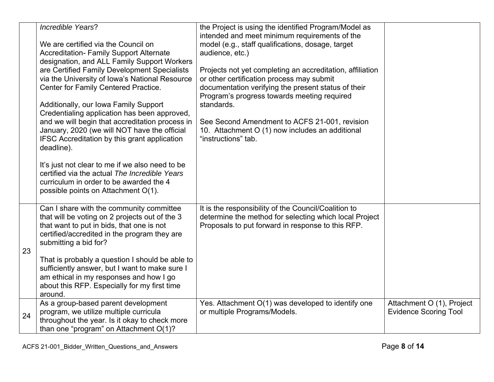|    | Incredible Years?                                                                         | the Project is using the identified Program/Model as                                               |                              |
|----|-------------------------------------------------------------------------------------------|----------------------------------------------------------------------------------------------------|------------------------------|
|    |                                                                                           | intended and meet minimum requirements of the                                                      |                              |
|    | We are certified via the Council on                                                       | model (e.g., staff qualifications, dosage, target                                                  |                              |
|    | <b>Accreditation- Family Support Alternate</b>                                            | audience, etc.)                                                                                    |                              |
|    | designation, and ALL Family Support Workers                                               |                                                                                                    |                              |
|    | are Certified Family Development Specialists                                              | Projects not yet completing an accreditation, affiliation                                          |                              |
|    | via the University of Iowa's National Resource                                            | or other certification process may submit                                                          |                              |
|    | Center for Family Centered Practice.                                                      | documentation verifying the present status of their<br>Program's progress towards meeting required |                              |
|    | Additionally, our Iowa Family Support                                                     | standards.                                                                                         |                              |
|    | Credentialing application has been approved,                                              |                                                                                                    |                              |
|    | and we will begin that accreditation process in                                           | See Second Amendment to ACFS 21-001, revision                                                      |                              |
|    | January, 2020 (we will NOT have the official                                              | 10. Attachment O (1) now includes an additional                                                    |                              |
|    | IFSC Accreditation by this grant application                                              | "instructions" tab.                                                                                |                              |
|    | deadline).                                                                                |                                                                                                    |                              |
|    |                                                                                           |                                                                                                    |                              |
|    | It's just not clear to me if we also need to be                                           |                                                                                                    |                              |
|    | certified via the actual The Incredible Years                                             |                                                                                                    |                              |
|    | curriculum in order to be awarded the 4                                                   |                                                                                                    |                              |
|    | possible points on Attachment O(1).                                                       |                                                                                                    |                              |
|    | Can I share with the community committee                                                  | It is the responsibility of the Council/Coalition to                                               |                              |
|    | that will be voting on 2 projects out of the 3                                            | determine the method for selecting which local Project                                             |                              |
|    | that want to put in bids, that one is not                                                 | Proposals to put forward in response to this RFP.                                                  |                              |
|    | certified/accredited in the program they are                                              |                                                                                                    |                              |
|    | submitting a bid for?                                                                     |                                                                                                    |                              |
| 23 |                                                                                           |                                                                                                    |                              |
|    | That is probably a question I should be able to                                           |                                                                                                    |                              |
|    | sufficiently answer, but I want to make sure I<br>am ethical in my responses and how I go |                                                                                                    |                              |
|    | about this RFP. Especially for my first time                                              |                                                                                                    |                              |
|    | around.                                                                                   |                                                                                                    |                              |
|    | As a group-based parent development                                                       | Yes. Attachment O(1) was developed to identify one                                                 | Attachment O (1), Project    |
|    | program, we utilize multiple curricula                                                    | or multiple Programs/Models.                                                                       | <b>Evidence Scoring Tool</b> |
| 24 | throughout the year. Is it okay to check more                                             |                                                                                                    |                              |
|    | than one "program" on Attachment O(1)?                                                    |                                                                                                    |                              |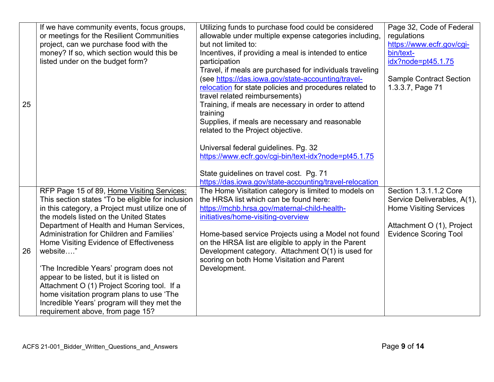| 25 | If we have community events, focus groups,<br>or meetings for the Resilient Communities<br>project, can we purchase food with the<br>money? If so, which section would this be<br>listed under on the budget form?                                                                                                                                                                                                                                                                                                                                                                                                 | Utilizing funds to purchase food could be considered<br>allowable under multiple expense categories including,<br>but not limited to:<br>Incentives, if providing a meal is intended to entice<br>participation<br>Travel, if meals are purchased for individuals traveling<br>(see https://das.iowa.gov/state-accounting/travel-<br>relocation for state policies and procedures related to<br>travel related reimbursements)<br>Training, if meals are necessary in order to attend<br>training<br>Supplies, if meals are necessary and reasonable<br>related to the Project objective.<br>Universal federal guidelines. Pg. 32<br>https://www.ecfr.gov/cgi-bin/text-idx?node=pt45.1.75<br>State guidelines on travel cost. Pg. 71<br>https://das.iowa.gov/state-accounting/travel-relocation | Page 32, Code of Federal<br>regulations<br>https://www.ecfr.gov/cgi-<br>bin/text-<br>idx?node=pt45.1.75<br><b>Sample Contract Section</b><br>1.3.3.7, Page 71 |
|----|--------------------------------------------------------------------------------------------------------------------------------------------------------------------------------------------------------------------------------------------------------------------------------------------------------------------------------------------------------------------------------------------------------------------------------------------------------------------------------------------------------------------------------------------------------------------------------------------------------------------|-------------------------------------------------------------------------------------------------------------------------------------------------------------------------------------------------------------------------------------------------------------------------------------------------------------------------------------------------------------------------------------------------------------------------------------------------------------------------------------------------------------------------------------------------------------------------------------------------------------------------------------------------------------------------------------------------------------------------------------------------------------------------------------------------|---------------------------------------------------------------------------------------------------------------------------------------------------------------|
| 26 | RFP Page 15 of 89, Home Visiting Services:<br>This section states "To be eligible for inclusion<br>in this category, a Project must utilize one of<br>the models listed on the United States<br>Department of Health and Human Services,<br>Administration for Children and Families'<br>Home Visiting Evidence of Effectiveness<br>website"<br>'The Incredible Years' program does not<br>appear to be listed, but it is listed on<br>Attachment O (1) Project Scoring tool. If a<br>home visitation program plans to use 'The<br>Incredible Years' program will they met the<br>requirement above, from page 15? | The Home Visitation category is limited to models on<br>the HRSA list which can be found here:<br>https://mchb.hrsa.gov/maternal-child-health-<br>initiatives/home-visiting-overview<br>Home-based service Projects using a Model not found<br>on the HRSA list are eligible to apply in the Parent<br>Development category. Attachment O(1) is used for<br>scoring on both Home Visitation and Parent<br>Development.                                                                                                                                                                                                                                                                                                                                                                          | Section 1.3.1.1.2 Core<br>Service Deliverables, A(1),<br><b>Home Visiting Services</b><br>Attachment O (1), Project<br><b>Evidence Scoring Tool</b>           |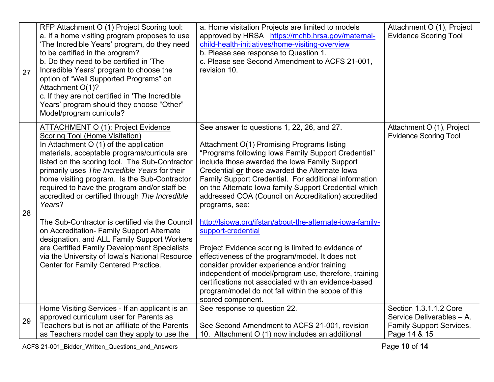| 27 | RFP Attachment O (1) Project Scoring tool:<br>a. If a home visiting program proposes to use<br>'The Incredible Years' program, do they need<br>to be certified in the program?<br>b. Do they need to be certified in 'The<br>Incredible Years' program to choose the<br>option of "Well Supported Programs" on<br>Attachment O(1)?<br>c. If they are not certified in 'The Incredible<br>Years' program should they choose "Other"<br>Model/program curricula?                                                                                                                                                                                                                                                                        | a. Home visitation Projects are limited to models<br>approved by HRSA https://mchb.hrsa.gov/maternal-<br>child-health-initiatives/home-visiting-overview<br>b. Please see response to Question 1.<br>c. Please see Second Amendment to ACFS 21-001,<br>revision 10.                                                                                                                                                                                                                                                                                                                                                                                                                                                                                                                                                                                                                   | Attachment O (1), Project<br><b>Evidence Scoring Tool</b>                                              |
|----|---------------------------------------------------------------------------------------------------------------------------------------------------------------------------------------------------------------------------------------------------------------------------------------------------------------------------------------------------------------------------------------------------------------------------------------------------------------------------------------------------------------------------------------------------------------------------------------------------------------------------------------------------------------------------------------------------------------------------------------|---------------------------------------------------------------------------------------------------------------------------------------------------------------------------------------------------------------------------------------------------------------------------------------------------------------------------------------------------------------------------------------------------------------------------------------------------------------------------------------------------------------------------------------------------------------------------------------------------------------------------------------------------------------------------------------------------------------------------------------------------------------------------------------------------------------------------------------------------------------------------------------|--------------------------------------------------------------------------------------------------------|
| 28 | <b>ATTACHMENT O (1): Project Evidence</b><br><b>Scoring Tool (Home Visitation)</b><br>In Attachment O (1) of the application<br>materials, acceptable programs/curricula are<br>listed on the scoring tool. The Sub-Contractor<br>primarily uses The Incredible Years for their<br>home visiting program. Is the Sub-Contractor<br>required to have the program and/or staff be<br>accredited or certified through The Incredible<br>Years?<br>The Sub-Contractor is certified via the Council<br>on Accreditation- Family Support Alternate<br>designation, and ALL Family Support Workers<br>are Certified Family Development Specialists<br>via the University of Iowa's National Resource<br>Center for Family Centered Practice. | See answer to questions 1, 22, 26, and 27.<br>Attachment O(1) Promising Programs listing<br>"Programs following Iowa Family Support Credential"<br>include those awarded the Iowa Family Support<br>Credential or those awarded the Alternate Iowa<br>Family Support Credential. For additional information<br>on the Alternate Iowa family Support Credential which<br>addressed COA (Council on Accreditation) accredited<br>programs, see:<br>http://lsiowa.org/ifstan/about-the-alternate-iowa-family-<br>support-credential<br>Project Evidence scoring is limited to evidence of<br>effectiveness of the program/model. It does not<br>consider provider experience and/or training<br>independent of model/program use, therefore, training<br>certifications not associated with an evidence-based<br>program/model do not fall within the scope of this<br>scored component. | Attachment O (1), Project<br><b>Evidence Scoring Tool</b>                                              |
| 29 | Home Visiting Services - If an applicant is an<br>approved curriculum user for Parents as<br>Teachers but is not an affiliate of the Parents<br>as Teachers model can they apply to use the                                                                                                                                                                                                                                                                                                                                                                                                                                                                                                                                           | See response to question 22.<br>See Second Amendment to ACFS 21-001, revision<br>10. Attachment O (1) now includes an additional                                                                                                                                                                                                                                                                                                                                                                                                                                                                                                                                                                                                                                                                                                                                                      | Section 1.3.1.1.2 Core<br>Service Deliverables - A.<br><b>Family Support Services,</b><br>Page 14 & 15 |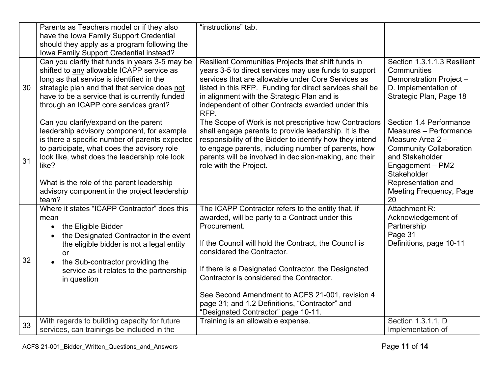|    | Parents as Teachers model or if they also                                                    | "instructions" tab.                                                                                               |                                           |
|----|----------------------------------------------------------------------------------------------|-------------------------------------------------------------------------------------------------------------------|-------------------------------------------|
|    | have the Iowa Family Support Credential                                                      |                                                                                                                   |                                           |
|    | should they apply as a program following the                                                 |                                                                                                                   |                                           |
|    | Iowa Family Support Credential instead?<br>Can you clarify that funds in years 3-5 may be    | Resilient Communities Projects that shift funds in                                                                | Section 1.3.1.1.3 Resilient               |
|    | shifted to any allowable ICAPP service as                                                    | years 3-5 to direct services may use funds to support                                                             | Communities                               |
|    | long as that service is identified in the                                                    | services that are allowable under Core Services as                                                                | Demonstration Project -                   |
| 30 | strategic plan and that that service does not                                                | listed in this RFP. Funding for direct services shall be                                                          | D. Implementation of                      |
|    | have to be a service that is currently funded                                                | in alignment with the Strategic Plan and is                                                                       | Strategic Plan, Page 18                   |
|    | through an ICAPP core services grant?                                                        | independent of other Contracts awarded under this<br>RFP.                                                         |                                           |
|    | Can you clarify/expand on the parent                                                         | The Scope of Work is not prescriptive how Contractors                                                             | Section 1.4 Performance                   |
|    | leadership advisory component, for example<br>is there a specific number of parents expected | shall engage parents to provide leadership. It is the<br>responsibility of the Bidder to identify how they intend | Measures - Performance<br>Measure Area 2- |
|    | to participate, what does the advisory role                                                  | to engage parents, including number of parents, how                                                               | <b>Community Collaboration</b>            |
| 31 | look like, what does the leadership role look                                                | parents will be involved in decision-making, and their                                                            | and Stakeholder                           |
|    | like?                                                                                        | role with the Project.                                                                                            | Engagement - PM2                          |
|    |                                                                                              |                                                                                                                   | Stakeholder                               |
|    | What is the role of the parent leadership                                                    |                                                                                                                   | Representation and                        |
|    | advisory component in the project leadership<br>team?                                        |                                                                                                                   | Meeting Frequency, Page<br>20             |
|    | Where it states "ICAPP Contractor" does this                                                 | The ICAPP Contractor refers to the entity that, if                                                                | Attachment R:                             |
|    | mean                                                                                         | awarded, will be party to a Contract under this                                                                   | Acknowledgement of                        |
|    | the Eligible Bidder<br>$\bullet$                                                             | Procurement.                                                                                                      | Partnership                               |
|    | the Designated Contractor in the event                                                       |                                                                                                                   | Page 31                                   |
|    | the eligible bidder is not a legal entity                                                    | If the Council will hold the Contract, the Council is<br>considered the Contractor.                               | Definitions, page 10-11                   |
| 32 | or<br>the Sub-contractor providing the<br>$\bullet$                                          |                                                                                                                   |                                           |
|    | service as it relates to the partnership                                                     | If there is a Designated Contractor, the Designated                                                               |                                           |
|    | in question                                                                                  | Contractor is considered the Contractor.                                                                          |                                           |
|    |                                                                                              | See Second Amendment to ACFS 21-001, revision 4                                                                   |                                           |
|    |                                                                                              | page 31; and 1.2 Definitions, "Contractor" and                                                                    |                                           |
|    |                                                                                              | "Designated Contractor" page 10-11.                                                                               |                                           |
| 33 | With regards to building capacity for future                                                 | Training is an allowable expense.                                                                                 | Section 1.3.1.1, D                        |
|    | services, can trainings be included in the                                                   |                                                                                                                   | Implementation of                         |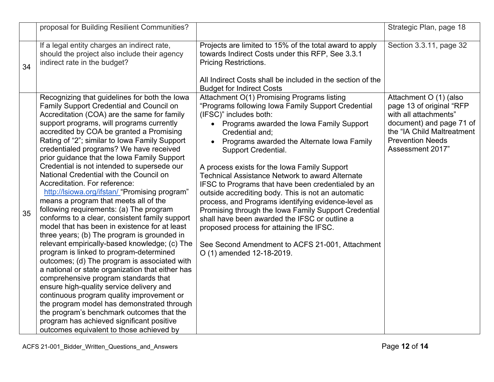|    | proposal for Building Resilient Communities?                                                                                                                                                                                                                                                                                                                                                                                                                                                                                                                                                                                                                                                                                                                                                                                                                                                                                                                                                                                                                                                                                                                                                                                                                                                                               |                                                                                                                                                                                                                                                                                                                                                                                                                                                                                                                                                                                                                                                                                                                                                                                                 | Strategic Plan, page 18                                                                                                                                                              |
|----|----------------------------------------------------------------------------------------------------------------------------------------------------------------------------------------------------------------------------------------------------------------------------------------------------------------------------------------------------------------------------------------------------------------------------------------------------------------------------------------------------------------------------------------------------------------------------------------------------------------------------------------------------------------------------------------------------------------------------------------------------------------------------------------------------------------------------------------------------------------------------------------------------------------------------------------------------------------------------------------------------------------------------------------------------------------------------------------------------------------------------------------------------------------------------------------------------------------------------------------------------------------------------------------------------------------------------|-------------------------------------------------------------------------------------------------------------------------------------------------------------------------------------------------------------------------------------------------------------------------------------------------------------------------------------------------------------------------------------------------------------------------------------------------------------------------------------------------------------------------------------------------------------------------------------------------------------------------------------------------------------------------------------------------------------------------------------------------------------------------------------------------|--------------------------------------------------------------------------------------------------------------------------------------------------------------------------------------|
| 34 | If a legal entity charges an indirect rate,<br>should the project also include their agency<br>indirect rate in the budget?                                                                                                                                                                                                                                                                                                                                                                                                                                                                                                                                                                                                                                                                                                                                                                                                                                                                                                                                                                                                                                                                                                                                                                                                | Projects are limited to 15% of the total award to apply<br>towards Indirect Costs under this RFP, See 3.3.1<br><b>Pricing Restrictions.</b><br>All Indirect Costs shall be included in the section of the<br><b>Budget for Indirect Costs</b>                                                                                                                                                                                                                                                                                                                                                                                                                                                                                                                                                   | Section 3.3.11, page 32                                                                                                                                                              |
| 35 | Recognizing that guidelines for both the lowa<br><b>Family Support Credential and Council on</b><br>Accreditation (COA) are the same for family<br>support programs, will programs currently<br>accredited by COA be granted a Promising<br>Rating of "2"; similar to lowa Family Support<br>credentialed programs? We have received<br>prior guidance that the Iowa Family Support<br>Credential is not intended to supersede our<br>National Credential with the Council on<br>Accreditation. For reference:<br>http://lsiowa.org/ifstan/ "Promising program"<br>means a program that meets all of the<br>following requirements: (a) The program<br>conforms to a clear, consistent family support<br>model that has been in existence for at least<br>three years; (b) The program is grounded in<br>relevant empirically-based knowledge; (c) The<br>program is linked to program-determined<br>outcomes; (d) The program is associated with<br>a national or state organization that either has<br>comprehensive program standards that<br>ensure high-quality service delivery and<br>continuous program quality improvement or<br>the program model has demonstrated through<br>the program's benchmark outcomes that the<br>program has achieved significant positive<br>outcomes equivalent to those achieved by | Attachment O(1) Promising Programs listing<br>"Programs following Iowa Family Support Credential<br>(IFSC)" includes both:<br>• Programs awarded the Iowa Family Support<br>Credential and;<br>Programs awarded the Alternate Iowa Family<br>$\bullet$<br>Support Credential.<br>A process exists for the Iowa Family Support<br><b>Technical Assistance Network to award Alternate</b><br>IFSC to Programs that have been credentialed by an<br>outside accrediting body. This is not an automatic<br>process, and Programs identifying evidence-level as<br>Promising through the Iowa Family Support Credential<br>shall have been awarded the IFSC or outline a<br>proposed process for attaining the IFSC.<br>See Second Amendment to ACFS 21-001, Attachment<br>O (1) amended 12-18-2019. | Attachment O (1) (also<br>page 13 of original "RFP<br>with all attachments"<br>document) and page 71 of<br>the "IA Child Maltreatment<br><b>Prevention Needs</b><br>Assessment 2017" |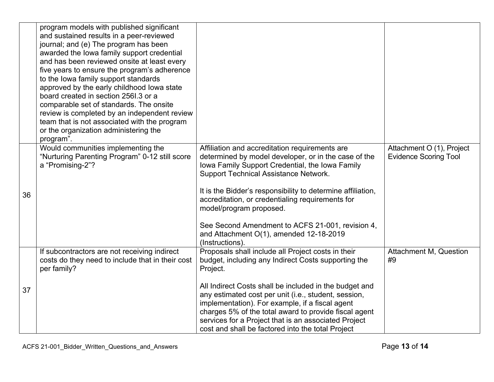|    | program models with published significant<br>and sustained results in a peer-reviewed<br>journal; and (e) The program has been<br>awarded the lowa family support credential<br>and has been reviewed onsite at least every<br>five years to ensure the program's adherence<br>to the lowa family support standards<br>approved by the early childhood lowa state<br>board created in section 2561.3 or a<br>comparable set of standards. The onsite<br>review is completed by an independent review<br>team that is not associated with the program<br>or the organization administering the<br>program". |                                                                                                                                                                                                                                                                                                                                                                                                                                                                           |                                                           |
|----|------------------------------------------------------------------------------------------------------------------------------------------------------------------------------------------------------------------------------------------------------------------------------------------------------------------------------------------------------------------------------------------------------------------------------------------------------------------------------------------------------------------------------------------------------------------------------------------------------------|---------------------------------------------------------------------------------------------------------------------------------------------------------------------------------------------------------------------------------------------------------------------------------------------------------------------------------------------------------------------------------------------------------------------------------------------------------------------------|-----------------------------------------------------------|
| 36 | Would communities implementing the<br>"Nurturing Parenting Program" 0-12 still score<br>a "Promising-2"?                                                                                                                                                                                                                                                                                                                                                                                                                                                                                                   | Affiliation and accreditation requirements are<br>determined by model developer, or in the case of the<br>Iowa Family Support Credential, the Iowa Family<br><b>Support Technical Assistance Network.</b><br>It is the Bidder's responsibility to determine affiliation,<br>accreditation, or credentialing requirements for<br>model/program proposed.<br>See Second Amendment to ACFS 21-001, revision 4,<br>and Attachment O(1), amended 12-18-2019<br>(Instructions). | Attachment O (1), Project<br><b>Evidence Scoring Tool</b> |
| 37 | If subcontractors are not receiving indirect<br>costs do they need to include that in their cost<br>per family?                                                                                                                                                                                                                                                                                                                                                                                                                                                                                            | Proposals shall include all Project costs in their<br>budget, including any Indirect Costs supporting the<br>Project.<br>All Indirect Costs shall be included in the budget and<br>any estimated cost per unit (i.e., student, session,<br>implementation). For example, if a fiscal agent<br>charges 5% of the total award to provide fiscal agent<br>services for a Project that is an associated Project<br>cost and shall be factored into the total Project          | <b>Attachment M, Question</b><br>#9                       |